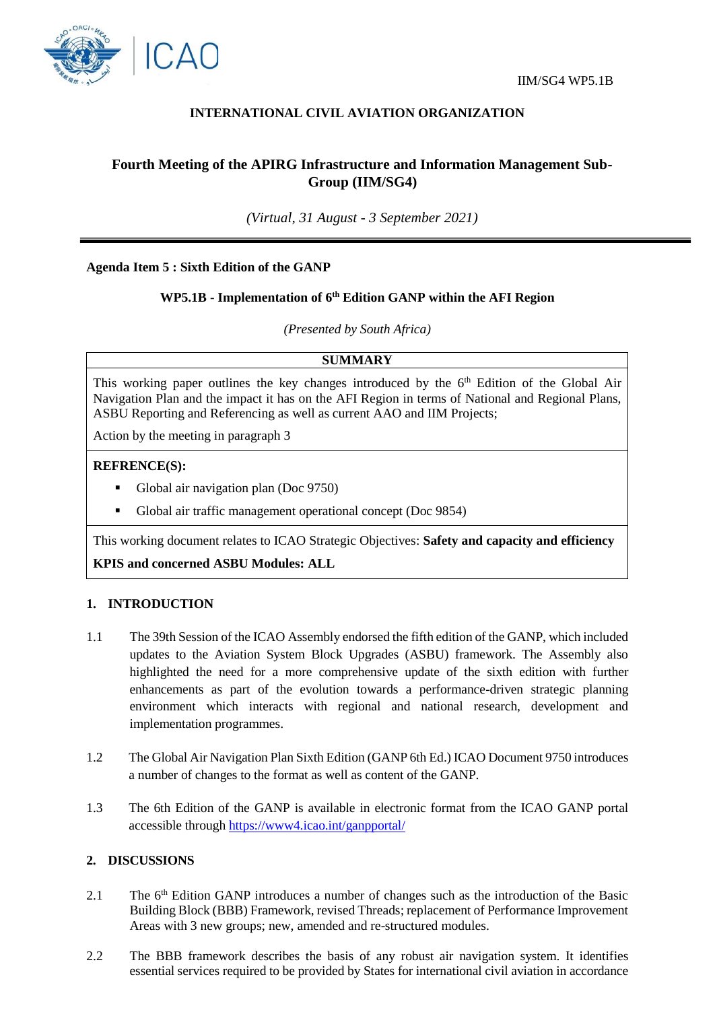



# **INTERNATIONAL CIVIL AVIATION ORGANIZATION**

# **Fourth Meeting of the APIRG Infrastructure and Information Management Sub-Group (IIM/SG4)**

*(Virtual, 31 August - 3 September 2021)*

### **Agenda Item 5 : Sixth Edition of the GANP**

# **WP5.1B - Implementation of 6th Edition GANP within the AFI Region**

*(Presented by South Africa)*

### **SUMMARY**

This working paper outlines the key changes introduced by the 6<sup>th</sup> Edition of the Global Air Navigation Plan and the impact it has on the AFI Region in terms of National and Regional Plans, ASBU Reporting and Referencing as well as current AAO and IIM Projects;

Action by the meeting in paragraph 3

#### **REFRENCE(S):**

- Global air navigation plan (Doc 9750)
- Global air traffic management operational concept (Doc 9854)

This working document relates to ICAO Strategic Objectives: **Safety and capacity and efficiency**

**KPIS and concerned ASBU Modules: ALL**

#### **1. INTRODUCTION**

- 1.1 The 39th Session of the ICAO Assembly endorsed the fifth edition of the GANP, which included updates to the Aviation System Block Upgrades (ASBU) framework. The Assembly also highlighted the need for a more comprehensive update of the sixth edition with further enhancements as part of the evolution towards a performance-driven strategic planning environment which interacts with regional and national research, development and implementation programmes.
- 1.2 The Global Air Navigation Plan Sixth Edition (GANP 6th Ed.) ICAO Document 9750 introduces a number of changes to the format as well as content of the GANP.
- 1.3 The 6th Edition of the GANP is available in electronic format from the ICAO GANP portal accessible through<https://www4.icao.int/ganpportal/>

### **2. DISCUSSIONS**

- 2.1 The  $6<sup>th</sup>$  Edition GANP introduces a number of changes such as the introduction of the Basic Building Block (BBB) Framework, revised Threads; replacement of Performance Improvement Areas with 3 new groups; new, amended and re-structured modules.
- 2.2 The BBB framework describes the basis of any robust air navigation system. It identifies essential services required to be provided by States for international civil aviation in accordance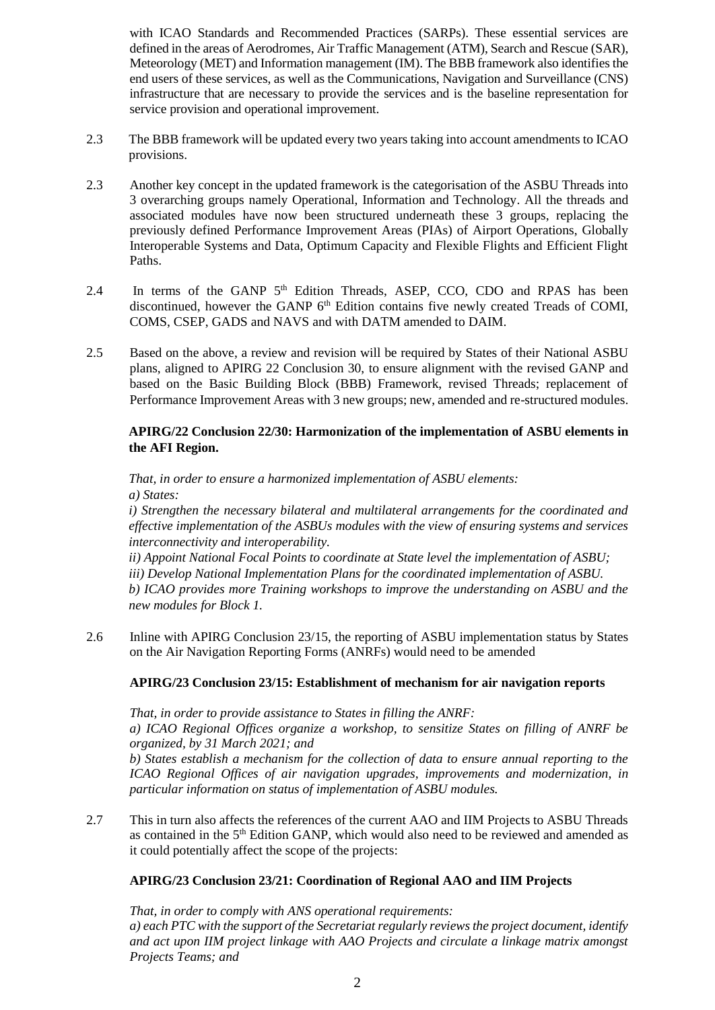with ICAO Standards and Recommended Practices (SARPs). These essential services are defined in the areas of Aerodromes, Air Traffic Management (ATM), Search and Rescue (SAR), Meteorology (MET) and Information management (IM). The BBB framework also identifies the end users of these services, as well as the Communications, Navigation and Surveillance (CNS) infrastructure that are necessary to provide the services and is the baseline representation for service provision and operational improvement.

- 2.3 The BBB framework will be updated every two years taking into account amendments to ICAO provisions.
- 2.3 Another key concept in the updated framework is the categorisation of the ASBU Threads into 3 overarching groups namely Operational, Information and Technology. All the threads and associated modules have now been structured underneath these 3 groups, replacing the previously defined Performance Improvement Areas (PIAs) of Airport Operations, Globally Interoperable Systems and Data, Optimum Capacity and Flexible Flights and Efficient Flight Paths.
- 2.4 In terms of the GANP 5<sup>th</sup> Edition Threads, ASEP, CCO, CDO and RPAS has been discontinued, however the GANP 6<sup>th</sup> Edition contains five newly created Treads of COMI, COMS, CSEP, GADS and NAVS and with DATM amended to DAIM.
- 2.5 Based on the above, a review and revision will be required by States of their National ASBU plans, aligned to APIRG 22 Conclusion 30, to ensure alignment with the revised GANP and based on the Basic Building Block (BBB) Framework, revised Threads; replacement of Performance Improvement Areas with 3 new groups; new, amended and re-structured modules.

## **APIRG/22 Conclusion 22/30: Harmonization of the implementation of ASBU elements in the AFI Region.**

*That, in order to ensure a harmonized implementation of ASBU elements: a) States:*

*i) Strengthen the necessary bilateral and multilateral arrangements for the coordinated and effective implementation of the ASBUs modules with the view of ensuring systems and services interconnectivity and interoperability.*

*ii) Appoint National Focal Points to coordinate at State level the implementation of ASBU;*

*iii) Develop National Implementation Plans for the coordinated implementation of ASBU.*

*b) ICAO provides more Training workshops to improve the understanding on ASBU and the new modules for Block 1.*

2.6 Inline with APIRG Conclusion 23/15, the reporting of ASBU implementation status by States on the Air Navigation Reporting Forms (ANRFs) would need to be amended

# **APIRG/23 Conclusion 23/15: Establishment of mechanism for air navigation reports**

*That, in order to provide assistance to States in filling the ANRF: a) ICAO Regional Offices organize a workshop, to sensitize States on filling of ANRF be organized, by 31 March 2021; and*

*b) States establish a mechanism for the collection of data to ensure annual reporting to the ICAO Regional Offices of air navigation upgrades, improvements and modernization, in particular information on status of implementation of ASBU modules.*

2.7 This in turn also affects the references of the current AAO and IIM Projects to ASBU Threads as contained in the 5th Edition GANP, which would also need to be reviewed and amended as it could potentially affect the scope of the projects:

# **APIRG/23 Conclusion 23/21: Coordination of Regional AAO and IIM Projects**

*That, in order to comply with ANS operational requirements: a) each PTC with the support of the Secretariat regularly reviews the project document, identify and act upon IIM project linkage with AAO Projects and circulate a linkage matrix amongst Projects Teams; and*